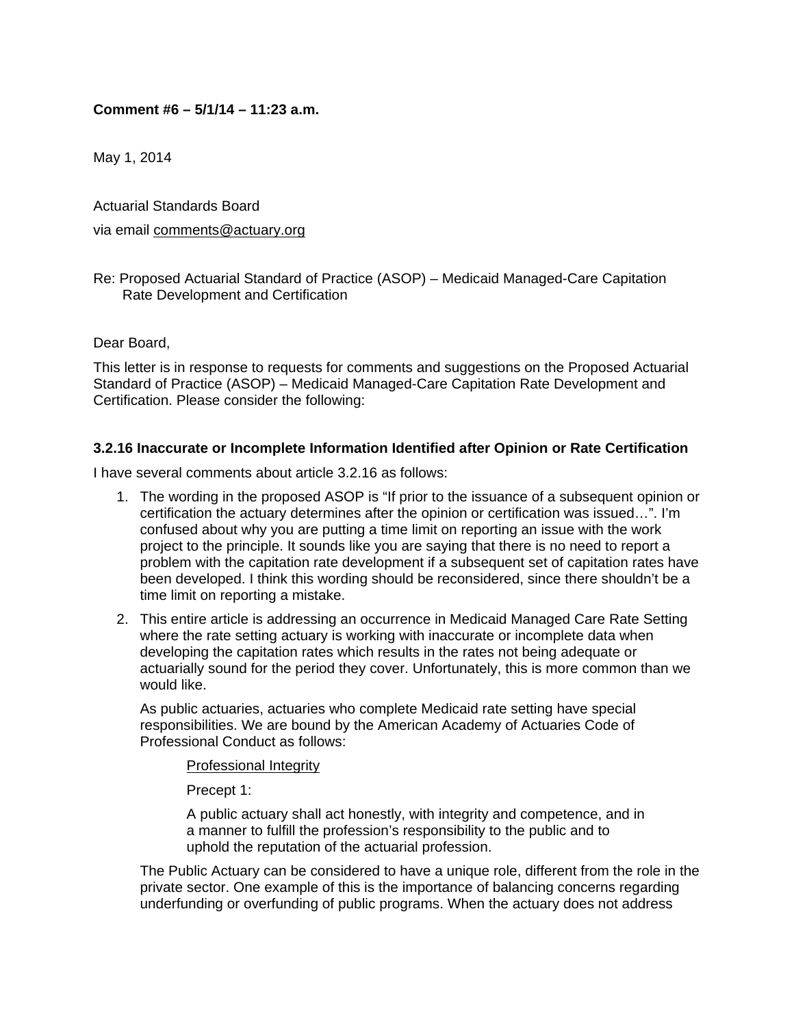## **Comment #6 – 5/1/14 – 11:23 a.m.**

May 1, 2014

Actuarial Standards Board via email comments@actuary.org

Re: Proposed Actuarial Standard of Practice (ASOP) – Medicaid Managed-Care Capitation Rate Development and Certification

Dear Board,

This letter is in response to requests for comments and suggestions on the Proposed Actuarial Standard of Practice (ASOP) – Medicaid Managed-Care Capitation Rate Development and Certification. Please consider the following:

## **3.2.16 Inaccurate or Incomplete Information Identified after Opinion or Rate Certification**

I have several comments about article 3.2.16 as follows:

- 1. The wording in the proposed ASOP is "If prior to the issuance of a subsequent opinion or certification the actuary determines after the opinion or certification was issued…". I'm confused about why you are putting a time limit on reporting an issue with the work project to the principle. It sounds like you are saying that there is no need to report a problem with the capitation rate development if a subsequent set of capitation rates have been developed. I think this wording should be reconsidered, since there shouldn't be a time limit on reporting a mistake.
- 2. This entire article is addressing an occurrence in Medicaid Managed Care Rate Setting where the rate setting actuary is working with inaccurate or incomplete data when developing the capitation rates which results in the rates not being adequate or actuarially sound for the period they cover. Unfortunately, this is more common than we would like.

As public actuaries, actuaries who complete Medicaid rate setting have special responsibilities. We are bound by the American Academy of Actuaries Code of Professional Conduct as follows:

Professional Integrity

Precept 1:

A public actuary shall act honestly, with integrity and competence, and in a manner to fulfill the profession's responsibility to the public and to uphold the reputation of the actuarial profession.

The Public Actuary can be considered to have a unique role, different from the role in the private sector. One example of this is the importance of balancing concerns regarding underfunding or overfunding of public programs. When the actuary does not address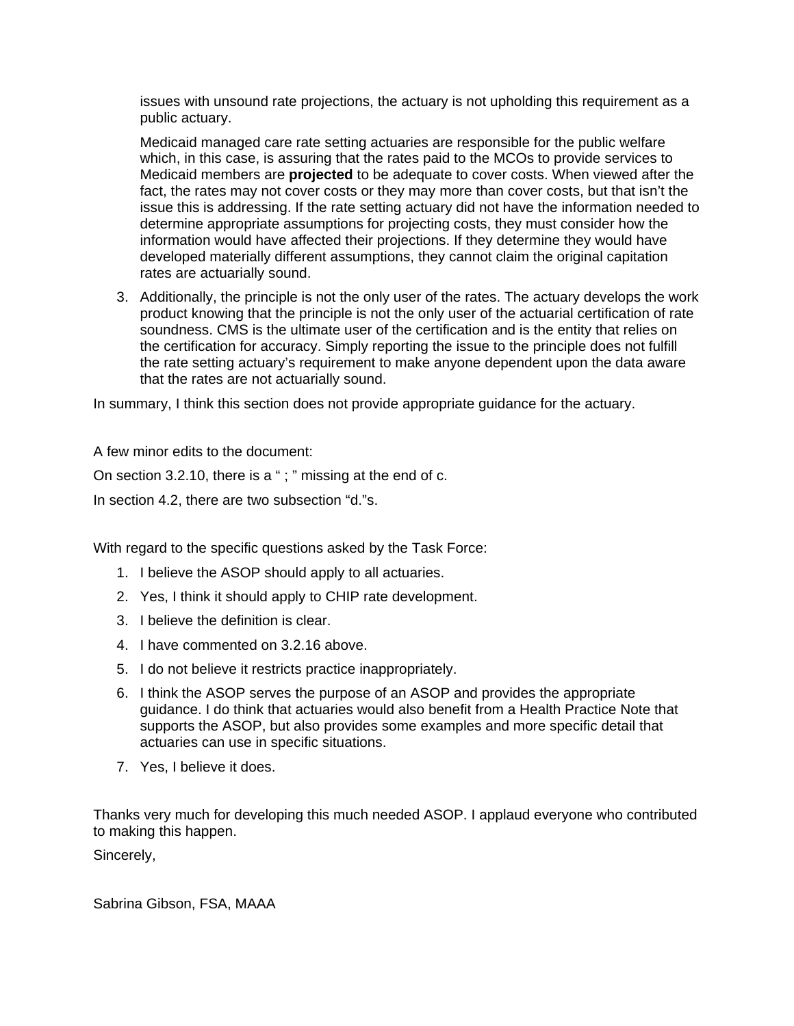issues with unsound rate projections, the actuary is not upholding this requirement as a public actuary.

Medicaid managed care rate setting actuaries are responsible for the public welfare which, in this case, is assuring that the rates paid to the MCOs to provide services to Medicaid members are **projected** to be adequate to cover costs. When viewed after the fact, the rates may not cover costs or they may more than cover costs, but that isn't the issue this is addressing. If the rate setting actuary did not have the information needed to determine appropriate assumptions for projecting costs, they must consider how the information would have affected their projections. If they determine they would have developed materially different assumptions, they cannot claim the original capitation rates are actuarially sound.

3. Additionally, the principle is not the only user of the rates. The actuary develops the work product knowing that the principle is not the only user of the actuarial certification of rate soundness. CMS is the ultimate user of the certification and is the entity that relies on the certification for accuracy. Simply reporting the issue to the principle does not fulfill the rate setting actuary's requirement to make anyone dependent upon the data aware that the rates are not actuarially sound.

In summary, I think this section does not provide appropriate guidance for the actuary.

A few minor edits to the document:

On section 3.2.10, there is a " ; " missing at the end of c.

In section 4.2, there are two subsection "d."s.

With regard to the specific questions asked by the Task Force:

- 1. I believe the ASOP should apply to all actuaries.
- 2. Yes, I think it should apply to CHIP rate development.
- 3. I believe the definition is clear.
- 4. I have commented on 3.2.16 above.
- 5. I do not believe it restricts practice inappropriately.
- 6. I think the ASOP serves the purpose of an ASOP and provides the appropriate guidance. I do think that actuaries would also benefit from a Health Practice Note that supports the ASOP, but also provides some examples and more specific detail that actuaries can use in specific situations.
- 7. Yes, I believe it does.

Thanks very much for developing this much needed ASOP. I applaud everyone who contributed to making this happen.

Sincerely,

Sabrina Gibson, FSA, MAAA